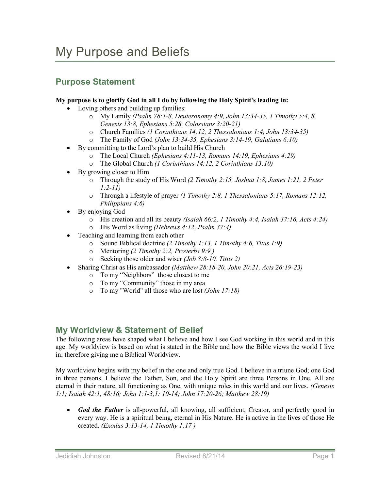## **Purpose Statement**

## **My purpose is to glorify God in all I do by following the Holy Spirit's leading in:**

- Loving others and building up families:
	- o My Family *(Psalm 78:1-8, Deuteronomy 4:9, John 13:34-35, 1 Timothy 5:4, 8, Genesis 13:8, Ephesians 5:28, Colossians 3:20-21)*
	- o Church Families *(1 Corinthians 14:12, 2 Thessalonians 1:4, John 13:34-35)*
	- o The Family of God *(John 13:34-35, Ephesians 3:14-19, Galatians 6:10)*
- By committing to the Lord's plan to build His Church
	- o The Local Church *(Ephesians 4:11-13, Romans 14:19, Ephesians 4:29)*
	- o The Global Church *(1 Corinthians 14:12, 2 Corinthians 13:10)*
- By growing closer to Him
	- o Through the study of His Word *(2 Timothy 2:15, Joshua 1:8, James 1:21, 2 Peter 1:2-11)*
	- o Through a lifestyle of prayer *(1 Timothy 2:8, 1 Thessalonians 5:17, Romans 12:12, Philippians 4:6)*
- By enjoying God
	- o His creation and all its beauty *(Isaiah 66:2, 1 Timothy 4:4, Isaiah 37:16, Acts 4:24)*
	- o His Word as living *(Hebrews 4:12, Psalm 37:4)*
- Teaching and learning from each other
	- o Sound Biblical doctrine *(2 Timothy 1:13, 1 Timothy 4:6, Titus 1:9)*
	- Mentoring *(2 Timothy 2:2, Proverbs 9:9,)*
	- o Seeking those older and wiser *(Job 8:8-10, Titus 2)*
- Sharing Christ as His ambassador *(Matthew 28:18-20, John 20:21, Acts 26:19-23)*
	- o To my "Neighbors" those closest to me
	- o To my "Community" those in my area
	- o To my "World" all those who are lost *(John 17:18)*

## **My Worldview & Statement of Belief**

The following areas have shaped what I believe and how I see God working in this world and in this age. My worldview is based on what is stated in the Bible and how the Bible views the world I live in; therefore giving me a Biblical Worldview.

My worldview begins with my belief in the one and only true God. I believe in a triune God; one God in three persons. I believe the Father, Son, and the Holy Spirit are three Persons in One. All are eternal in their nature, all functioning as One, with unique roles in this world and our lives. *(Genesis 1:1; Isaiah 42:1, 48:16; John 1:1-3,1: 10-14; John 17:20-26; Matthew 28:19)*

• *God the Father* is all-powerful, all knowing, all sufficient, Creator, and perfectly good in every way. He is a spiritual being, eternal in His Nature. He is active in the lives of those He created. *(Exodus 3:13-14, 1 Timothy 1:17 )*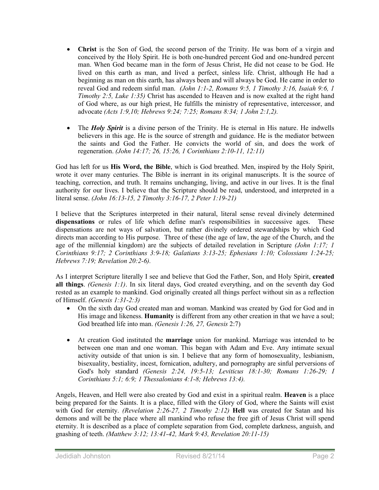- **Christ** is the Son of God, the second person of the Trinity. He was born of a virgin and conceived by the Holy Spirit. He is both one-hundred percent God and one-hundred percent man. When God became man in the form of Jesus Christ, He did not cease to be God. He lived on this earth as man, and lived a perfect, sinless life. Christ, although He had a beginning as man on this earth, has always been and will always be God. He came in order to reveal God and redeem sinful man. *(John 1:1-2, Romans 9:5, 1 Timothy 3:16, Isaiah 9:6, 1 Timothy 2:5, Luke 1:35)* Christ has ascended to Heaven and is now exalted at the right hand of God where, as our high priest, He fulfills the ministry of representative, intercessor, and advocate *(Acts 1:9,10; Hebrews 9:24; 7:25; Romans 8:34; 1 John 2:1,2).*
- The *Holy Spirit* is a divine person of the Trinity. He is eternal in His nature. He indwells believers in this age. He is the source of strength and guidance. He is the mediator between the saints and God the Father. He convicts the world of sin, and does the work of regeneration. *(John 14:17; 26, 15:26, 1 Corinthians 2:10-11, 12:11)*

God has left for us **His Word, the Bible**, which is God breathed. Men, inspired by the Holy Spirit, wrote it over many centuries. The Bible is inerrant in its original manuscripts. It is the source of teaching, correction, and truth. It remains unchanging, living, and active in our lives. It is the final authority for our lives. I believe that the Scripture should be read, understood, and interpreted in a literal sense. *(John 16:13-15, 2 Timothy 3:16-17, 2 Peter 1:19-21)*

I believe that the Scriptures interpreted in their natural, literal sense reveal divinely determined **dispensations** or rules of life which define man's responsibilities in successive ages. These dispensations are not ways of salvation, but rather divinely ordered stewardships by which God directs man according to His purpose. Three of these (the age of law, the age of the Church, and the age of the millennial kingdom) are the subjects of detailed revelation in Scripture *(John 1:17; 1 Corinthians 9:17; 2 Corinthians 3:9-18; Galatians 3:13-25; Ephesians 1:10; Colossians 1:24-25; Hebrews 7:19; Revelation 20:2-6).*

As I interpret Scripture literally I see and believe that God the Father, Son, and Holy Spirit, **created all things**. *(Genesis 1:1)*. In six literal days, God created everything, and on the seventh day God rested as an example to mankind. God originally created all things perfect without sin as a reflection of Himself. *(Genesis 1:31-2:3)*

- On the sixth day God created man and woman. Mankind was created by God for God and in His image and likeness. **Humanity** is different from any other creation in that we have a soul; God breathed life into man. *(Genesis 1:26, 27, Genesis* 2:7)
- At creation God instituted the **marriage** union for mankind. Marriage was intended to be between one man and one woman. This began with Adam and Eve. Any intimate sexual activity outside of that union is sin. I believe that any form of homosexuality, lesbianism, bisexuality, bestiality, incest, fornication, adultery, and pornography are sinful perversions of God's holy standard *(Genesis 2:24, 19:5-13; Leviticus 18:1-30; Romans 1:26-29; I Corinthians 5:1; 6:9; 1 Thessalonians 4:1-8; Hebrews 13:4).*

Angels, Heaven, and Hell were also created by God and exist in a spiritual realm. **Heaven** is a place being prepared for the Saints. It is a place, filled with the Glory of God, where the Saints will exist with God for eternity. *(Revelation 2:26-27, 2 Timothy 2:12)* **Hell** was created for Satan and his demons and will be the place where all mankind who refuse the free gift of Jesus Christ will spend eternity. It is described as a place of complete separation from God, complete darkness, anguish, and gnashing of teeth. *(Matthew 3:12; 13:41-42, Mark 9:43, Revelation 20:11-15)*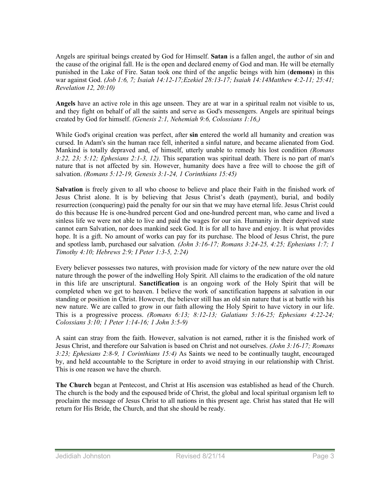Angels are spiritual beings created by God for Himself. **Satan** is a fallen angel, the author of sin and the cause of the original fall. He is the open and declared enemy of God and man. He will be eternally punished in the Lake of Fire. Satan took one third of the angelic beings with him (**demons**) in this war against God. *(Job 1:6, 7; Isaiah 14:12-17;Ezekiel 28:13-17; Isaiah 14:14Matthew 4:2-11; 25:41; Revelation 12, 20:10)*

**Angels** have an active role in this age unseen. They are at war in a spiritual realm not visible to us, and they fight on behalf of all the saints and serve as God's messengers. Angels are spiritual beings created by God for himself. *(Genesis 2:1, Nehemiah 9:6, Colossians 1:16,)*

While God's original creation was perfect, after **sin** entered the world all humanity and creation was cursed. In Adam's sin the human race fell, inherited a sinful nature, and became alienated from God. Mankind is totally depraved and, of himself, utterly unable to remedy his lost condition *(Romans 3:22, 23; 5:12; Ephesians 2:1-3, 12).* This separation was spiritual death. There is no part of man's nature that is not affected by sin. However, humanity does have a free will to choose the gift of salvation. *(Romans 5:12-19, Genesis 3:1-24, 1 Corinthians 15:45)*

**Salvation** is freely given to all who choose to believe and place their Faith in the finished work of Jesus Christ alone. It is by believing that Jesus Christ's death (payment), burial, and bodily resurrection (conquering) paid the penalty for our sin that we may have eternal life. Jesus Christ could do this because He is one-hundred percent God and one-hundred percent man, who came and lived a sinless life we were not able to live and paid the wages for our sin. Humanity in their deprived state cannot earn Salvation, nor does mankind seek God. It is for all to have and enjoy. It is what provides hope. It is a gift. No amount of works can pay for its purchase. The blood of Jesus Christ, the pure and spotless lamb, purchased our salvation*. (John 3:16-17; Romans 3:24-25, 4:25; Ephesians 1:7; 1 Timothy 4:10; Hebrews 2:9; I Peter 1:3-5, 2:24)*

Every believer possesses two natures, with provision made for victory of the new nature over the old nature through the power of the indwelling Holy Spirit. All claims to the eradication of the old nature in this life are unscriptural. **Sanctification** is an ongoing work of the Holy Spirit that will be completed when we get to heaven. I believe the work of sanctification happens at salvation in our standing or position in Christ. However, the believer still has an old sin nature that is at battle with his new nature. We are called to grow in our faith allowing the Holy Spirit to have victory in our life. This is a progressive process. *(Romans 6:13; 8:12-13; Galatians 5:16-25; Ephesians 4:22-24; Colossians 3:10; 1 Peter 1:14-16; 1 John 3:5-9)*

A saint can stray from the faith. However, salvation is not earned, rather it is the finished work of Jesus Christ, and therefore our Salvation is based on Christ and not ourselves. *(John 3:16-17; Romans 3:23; Ephesians 2:8-9, 1 Corinthians 15:4)* As Saints we need to be continually taught, encouraged by, and held accountable to the Scripture in order to avoid straying in our relationship with Christ. This is one reason we have the church.

**The Church** began at Pentecost, and Christ at His ascension was established as head of the Church. The church is the body and the espoused bride of Christ, the global and local spiritual organism left to proclaim the message of Jesus Christ to all nations in this present age. Christ has stated that He will return for His Bride, the Church, and that she should be ready.